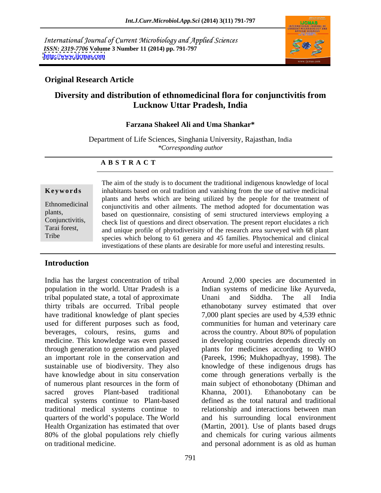International Journal of Current Microbiology and Applied Sciences *ISSN: 2319-7706* **Volume 3 Number 11 (2014) pp. 791-797 <http://www.ijcmas.com>**



# **Original Research Article**

# **Diversity and distribution of ethnomedicinal flora for conjunctivitis from Lucknow Uttar Pradesh, India**

# **Farzana Shakeel Ali and Uma Shankar\***

Department of Life Sciences, Singhania University, Rajasthan, India<br>
\*Corresponding author *\*Corresponding author*

### **A B S T R A C T**

**Keywords** inhabitants based on oral tradition and vanishing from the use of native medicinal Ethnomedicinal conjunctivitis and other ailments. The method adopted for documentation was plants, based on questionnaire, consisting of semi structured interviews employing a Conjunctivitis, check list of questions and direct observation. The present report elucidates a rich Tarai forest, and unique profile of phytodiverisity of the research area surveyed with 68 plant Tribe species which belong to 61 genera and 45 families. Phytochemical and clinical The aim of the study is to document the traditional indigenous knowledge of local plants and herbs which are being utilized by the people for the treatment of investigations of these plants are desirable for more useful and interesting results.

# **Introduction**

India has the largest concentration of tribal Around 2,000 species are documented in tribal populated state, a total of approximate thirty tribals are occurred. Tribal people traditional medical systems continue to

population in the world. Uttar Pradesh is a Indian systems of medicine like Ayurveda, have traditional knowledge of plant species  $\qquad 7,000$  plant species are used by 4,539 ethnic used for different purposes such as food, communities for human and veterinary care beverages, colours, resins, gums and across the country. About 80% of population medicine. This knowledge was even passed in developing countries depends directly on through generation to generation and played plants for medicines according to WHO an important role in the conservation and (Pareek, 1996; Mukhopadhyay, 1998). The sustainable use of biodiversity. They also knowledge of these indigenous drugs has have knowledge about in situ conservation come through generations verbally is the of numerous plant resources in the form of main subject of ethonobotany (Dhiman and sacred groves Plant-based traditional Khanna, 2001). Ethanobotany can be medical systems continue to Plant-based defined as the total natural and traditional quarters of the world's populace. The World and his surrounding local environment Health Organization has estimated that over (Martin, 2001). Use of plants based drugs 80% of the global populations rely chiefly and chemicals for curing various ailments on traditional medicine. and personal adornment is as old as human Unani and Siddha. The all India ethanobotany survey estimated that over Khanna, 2001). Ethanobotany can be relationship and interactions between man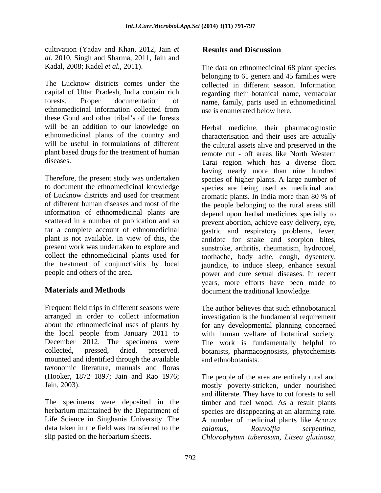cultivation (Yadav and Khan, 2012, Jain *et al.* 2010, Singh and Sharma, 2011, Jain and

The Lucknow districts comes under the collected in different season. Information capital of Uttar Pradesh, India contain rich regarding their botanical name, vernacular forests. Proper documentation of name, family, parts used in ethnomedicinal ethnomedicinal information collected from these Gond and other tribal's of the forests will be an addition to our knowledge on Herbal medicine, their pharmacognostic

of Lucknow districts and used for treatment aromatic plants. In India more than 80 % of present work was undertaken to explore and

Frequent field trips in different seasons were arranged in order to collect information investigation is the fundamental requirement about the ethnomedicinal uses of plants by for any developmental planning concerned the local people from January 2011 to with human welfare of botanical society. December 2012. The specimens were The work is fundamentally helpful to collected, pressed, dried, preserved, botanists, pharmacognosists, phytochemists mounted and identified through the available taxonomic literature, manuals and floras (Hooker, 1872-1897; Jain and Rao 1976;

The specimens were deposited in the timber and fuel wood. As a result plants herbarium maintained by the Department of species are disappearing at an alarming rate. Life Science in Singhania University. The A number of medicinal plants like *Acorus*  data taken in the field was transferred to the calamus, Rouvolfia serpentina,

Kadal, 2008; Kadel *et al.*, 2011). The data on ethnomedicinal 68 plant species belonging to 61 genera and 45 families were use is enumerated below here.

ethnomedicinal plants of the country and characterisation and their uses are actually will be useful in formulations of different the cultural assets alive and preserved in the plant based drugs for the treatment of human remote cut - off areas like North Western diseases. Tarai region which has a diverse flora Therefore, the present study was undertaken species of higher plants. A large number of to document the ethnomedicinal knowledge species are being used as medicinal and of different human diseases and most of the the people belonging to the rural areas still information of ethnomedicinal plants are depend upon herbal medicines specially to scattered in a number of publication and so prevent abortion, achieve easy delivery, eye, far a complete account of ethnomedicinal gastric and respiratory problems, fever, plant is not available. In view of this, the antidote for snake and scorpion bites, collect the ethnomedicinal plants used for toothache, body ache, cough, dysentery, the treatment of conjunctivitis by local jaundice, to induce sleep, enhance sexual people and others of the area. power and cure sexual diseases. In recent **Materials and Methods** document the traditional knowledge. cultivation (Yalet and Kham, 2012, Lini er<br>
Sellat sand Discussion (Yalet and Ahma, 2011, Lini and<br>
Scali of  $m$ , 2011). Single and Shama, 2011, Lini and<br>
Scali of  $m$ , 2011). Single and Shama, 2012, The mean one showed co having nearly more than nine hundred aromatic plants. In India more than 80 % of sunstroke, arthritis, rheumatism, hydrocoel, years, more efforts have been made to

The author believes that such ethnobotanical and ethnobotanists.

Jain, 2003). mostly poverty-stricken, under nourished The people of the area are entirely rural and and illiterate. They have to cut forests to sell *calamus, Rouvolfia serpentina, Chlorophytum tuberosum, Litsea glutinosa,*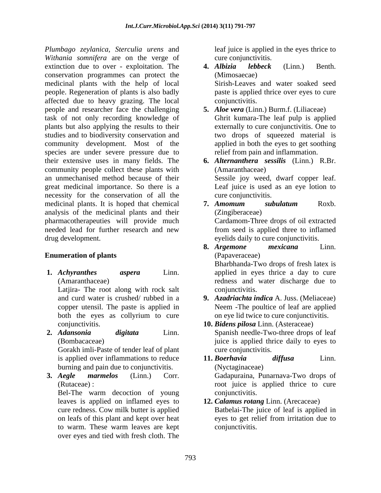*Plumbago zeylanica, Sterculia urens* and *Withania somnifera* are on the verge of extinction due to over - exploitation. The **4.** Albizia lebbeck (Linn.) Benth. conservation programmes can protect the medicinal plants with the help of local people. Regeneration of plants is also badly affected due to heavy grazing. The local people and researcher face the challenging task of not only recording knowledge of plants but also applying the results to their studies and to biodiversity conservation and community development. Most of the species are under severe pressure due to their extensive uses in many fields. The community people collect these plants with an unmechanised method because of their great medicinal importance. So there is a necessity for the conservation of all the medicinal plants. It is hoped that chemical **7. Amomum** subulatum Roxb. analysis of the medicinal plants and their pharmacotherapeuties will provide much needed lead for further research and new drug development. eyelids daily to cure conjunctivitis.

## **Enumeration of plants**

**1.** *Achyranthes aspera* Linn. applied in eyes thrice a day to cure

Latjira- The root along with rock salt conjunctivitis.

Gorakh imli-Paste of tender leaf of plant burning and pain due to conjunctivitis.

Bel-The warm decoction of young conjunctivitis. leaves is applied on inflamed eyes to over eyes and tied with fresh cloth. The

leaf juice is applied in the eyes thrice to cure conjunctivitis.

- **4.** *Albizia lebbeck* (Linn.) Benth. (Mimosaecae) Sirish-Leaves and water soaked seed paste is applied thrice over eyes to cure conjunctivitis.
- **5.** *Aloe vera* (Linn.) Burm.f. (Liliaceae) Ghrit kumara-The leaf pulp is applied externally to cure conjunctivitis. One to two drops of squeezed material is applied in both the eyes to get soothing relief from pain and inflammation.
- **6.** *Alternanthera sessilis* (Linn.) R.Br. (Amaranthaceae) Sessile joy weed, dwarf copper leaf. Leaf juice is used as an eye lotion to cure conjunctivitis.
- **7.** *Amomum subulatum* Roxb. (Zingiberaceae) Cardamom-Three drops of oil extracted from seed is applied three to inflamed
- (Amaranthaceae) redness and water discharge due to **8.** *Argemone mexicana* Linn. (Papaveraceae) Bharbhanda-Two drops of fresh latex is conjunctivitis.
- and curd water is crushed/ rubbed in a **9.** *Azadriachta indica* A. Juss. (Meliaceae) copper utensil. The paste is applied in Neem -The poultice of leaf are applied both the eyes as collyrium to cure on eye lid twice to cure conjunctivitis. on eye lid twice to cure conjunctivitis.
- conjunctivitis. **10.** *Bidens pilosa* Linn. (Asteraceae) **2.** *Adansonia digitata* Linn. Spanish needle-Two-three drops of leaf (Bombacaceae) juice is applied thrice daily to eyes to cure conjunctivitis.
- is applied over inflammations to reduce **11. Boerhavia** diffusa Linn. **3.** *Aegle marmelos* (Linn.) Corr. Gadapuraina, Punarnava-Two drops of (Rutaceae) : root juice is applied thrice to cure **11.** *Boerhavia diffusa* Linn. (Nyctaginaceae) conjunctivitis.

### cure redness. Cow milk butter is applied Batbelai-The juice of leaf is applied in on leafs of this plant and kept over heat eyes to get relief from irritation due to to warm. These warm leaves are kept **12.** *Calamus rotang* Linn. (Arecaceae) conjunctivitis.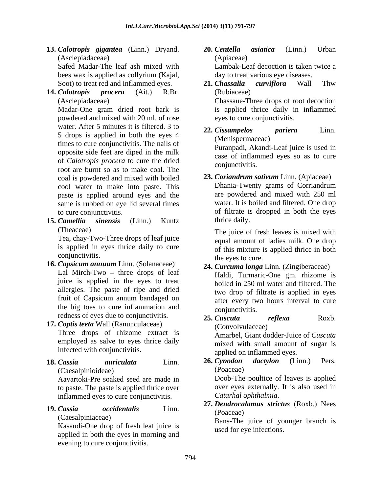- **13.** *Calotropis gigantea* (Linn.) Dryand. (Asclepiadaceae) bees wax is applied as collyrium (Kajal, day to treat various eye diseases.
- **14.** *Calotropis procera* (Ait.) R.Br.

powdered and mixed with 20 ml. of rose water. After 5 minutes it is filtered. 3 to <br>
22. Cissampelos pariera Linn. 5 drops is applied in both the eyes 4 times to cure conjunctivitis. The nails of opposite side feet are diped in the milk of *Calotropis procera* to cure the dried root are burnt so as to make coal. The coal is powdered and mixed with boiled cool water to make into paste. This paste is applied around eyes and the same is rubbed on eye lid several times

**15.** *Camellia sinensis* (Linn.) Kuntz

Tea, chay-Two-Three drops of leaf juice is applied in eyes thrice daily to cure

- **16.** *Capsicum annuum* Linn. (Solanaceae) Lal Mirch-Two  $-$  three drops of leaf juice is applied in the eyes to treat allergies. The paste of ripe and dried the big toes to cure inflammation and conjunctivitis. redness of eyes due to conjunctivitis. 25. *Cuscuta* reflexa Roxb.
- **17.** *Coptis teeta* Wall (Ranunculaceae) Three drops of rhizome extract is employed as salve to eyes thrice daily infected with conjunctivitis.
- (Caesalpinioideae)

Aavartoki-Pre soaked seed are made in to paste. The paste is applied thrice over inflammed eyes to cure conjunctivitis.

Kasaudi-One drop of fresh leaf juice is applied in both the eyes in morning and evening to cure conjunctivitis.

- Safed Madar-The leaf ash mixed with Lambak-Leaf decoction is taken twice a **20.** *Centella asiatica* (Linn.) Urban (Apiaceae) day to treat various eye diseases.
- Soot) to treat red and inflammed eyes. 21. Chassalia curviflora Wall Thw (Asclepiadaceae) Chassaue-Three drops of root decoction Madar-One gram dried root bark is is applied thrice daily in inflammed **21.** *Chassalia curviflora* Wall Thw (Rubiaceae) eyes to cure conjunctivitis.
	- **22.** *Cissampelos pariera* Linn. (Menispermaceae) Puranpadi, Akandi-Leaf juice is used in case of inflammed eyes so as to cure conjunctivitis.
- to cure conjunctivitis. of filtrate is dropped in both the eyes **23.** *Coriandrum sativum* Linn. (Apiaceae) Dhania-Twenty grams of Corriandrum are powdered and mixed with 250 ml water. It is boiled and filtered. One drop thrice daily.

(Theaceae) The juice of fresh leaves is mixed with conjunctivitis. the eyes to cure. equal amount of ladies milk. One drop of this mixture is applied thrice in both

- fruit of Capsicum annum bandaged on the after every two hours interval to cure **24.** *Curcuma longa* Linn. (Zingiberaceae) Haldi, Turmaric-One gm. rhizome is boiled in 250 ml water and filtered. The two drop of filtrate is applied in eyes after every two hours interval to cure conjunctivitis.
	- **25.** *Cuscuta reflexa* Roxb. (Convolvulaceae) Amarbel, Giant dodder-Juice of *Cuscuta* mixed with small amount of sugar is applied on inflammed eyes.
- **18.** *Cassia auriculata* Linn. **26.** *Cynodon dactylon* (Linn.) Pers. (Poaceae)

Doob-The poultice of leaves is applied over eyes externally. It is also used in *Catarhal ophthalmia*.

**19.** *Cassia occidentalis* Linn. **27.** *Dendrocalamus strictus* (Roxb.) Nees (Poaceae)

(Caesalpiniaceae) Bans-The juice of younger branch is used for eye infections.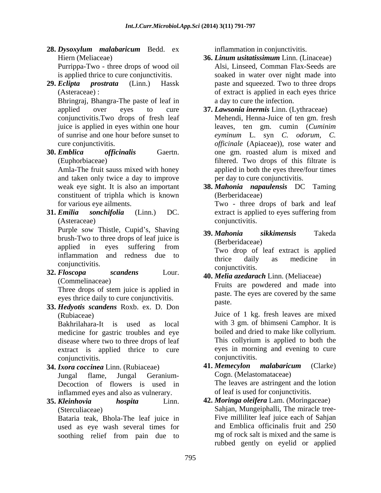- **28.** *Dysoxylum malabaricum* Bedd. ex Purrippa-Two - three drops of wood oil
- 

Bhringraj, Bhangra-The paste of leaf in

**30.** *Emblica officinalis* Gaertn.

and taken only twice a day to improve constituent of triphla which is known

**31.** *Emilia sonchifolia* (Linn.) DC. extract is applied to eyes suffering from (Asteraceae) conjunctivitis.

brush-Two to three drops of leaf juice is (Berberidaceae) applied in eyes suffering from  $\frac{1}{2}$  (Belochdaecae) inflammation and redness due to  $\frac{1}{2}$  the deliver of medicine in

**32.** *Floscopa scandens* Lour. **40.** *Melia azedarach* Linn. (Meliaceae)

Three drops of stem juice is applied in eyes thrice daily to cure conjunctivitis. paste.

**33.** *Hedyotis scandens* Roxb. ex. D. Don

medicine for gastric troubles and eye disease where two to three drops of leaf extract is applied thrice to cure eyes in morni<br>conjunctivitis. conjunctivitis.

- **34.** *Ixora coccinea* Linn. (Rubiaceae) Decoction of flowers is used in inflammed eyes and also as vulnerary.
- **35.** *Kleinhovia hospita* Linn. **42.** *Moringa oleifera* Lam. (Moringaceae) (Sterculiaceae) Sahjan, Mungeiphalli, The miracle tree-

Bataria teak, Bhola-The leaf juice in used as eye wash several times for

inflammation in conjunctivitis.

- Hiern (Meliaceae) **36. Linum usitatissimum** Linn. (Linaceae) is applied thrice to cure conjunctivitis. soaked in water over night made into **29.** *Eclipta prostrata* (Linn.) Hassk paste and squeezed. Two to three drops (Asteraceae) : of extract is applied in each eyes thrice **36.** *Linum usitatissimum* Linn. (Linaceae) Alsi, Linseed, Comman Flax-Seeds are a day to cure the infection.
	- applied over eyes to cure **37.** *Lawsonia inermis* Linn. (Lythraceae) conjunctivitis.Two drops of fresh leaf Mehendi, Henna-Juice of ten gm. fresh juice is applied in eyes within one hour leaves, ten gm. cumin (*Cuminim*  of sunrise and one hour before sunset to *eyminum* L. syn *C. odorum, C.* cure conjunctivitis. *officinale* (Apiaceae)), rose water and (Euphorbiaceae) filtered. Two drops of this filtrate is Amla-The fruit sauss mixed with honey applied in both the eyes three/four times one gm. roasted alum is mixed and per day to cure conjunctivitis.
	- weak eye sight. It is also an important **38. Mahonia napaulensis** DC Taming for various eye ailments. Two - three drops of bark and leaf **38.** *Mahonia napaulensis* DC Taming (Berberidaceae)

Purple sow Thistle, Cupid's, Shaving 39. Mahonia sikkimensis Takeda **39.** *Mahonia sikkimensis* Takeda

(Berberidaceae)

conjunctivitis. example the conjunctivities of the conjunctivities of the conjunctivities of the conjunctivities Two drop of leaf extract is applied thrice daily as medicine in conjunctivitis.

(Commelinaceae)<br>
Fruits are powdered and made into paste. The eyes are covered by the same paste.

(Rubiaceae) Juice of 1 kg. fresh leaves are mixed Bakhrilahara-It is used as local with 3 gm. of bhimseni Camphor. It is boiled and dried to make like collyrium. This collyrium is applied to both the eyes in morning and evening to cure conjunctivitis.

Jungal flame, Jungal Geranium- **41.** *Memecylon malabaricum* (Clarke) Cogn. (Melastomataceae) The leaves are astringent and the lotion of leaf is used for conjunctivitis.

soothing relief from pain due to mg of rock salt is mixed and the same is Five milliliter leaf juice each of Sahjan and Emblica officinalis fruit and 250 mg of rock salt is mixed and the same is rubbed gently on eyelid or applied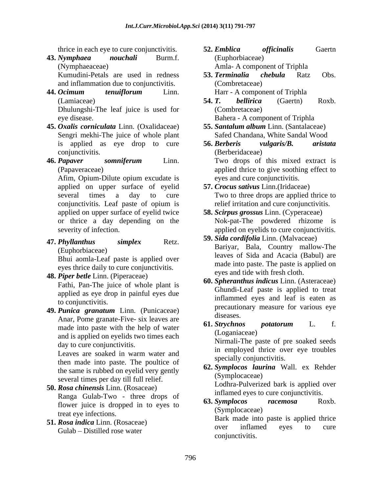(Nymphaeaceae) Amla- A component of Triphla

and inflammation due to conjunctivitis.

**44.** *Ocimum tenuiflorum* Linn.

Dhulungshi-The leaf juice is used for eye disease. Bahera - A component of Triphla

- **45.** *Oxalis corniculata* Linn. (Oxalidaceae) Sengri mekhi-The juice of whole plant conjunctivitis.
- 

applied on upper surface of eyelid conjunctivitis. Leaf paste of opium is applied on upper surface of eyelid twice

Bhui aomla-Leaf paste is applied over eyes thrice daily to cure conjunctivitis.

**48.** *Piper betle* Linn. (Piperaceae)

Fathi, Pan-The juice of whole plant is applied as eye drop in painful eyes due

**49.** *Punica granatum* Linn. (Punicaceae) Anar, Pome granate-Five- six leaves are diseases.<br> **61. Strychnos** potatorum L. f. made into paste with the help of water and is applied on eyelids two times each day to cure conjunctivitis.

Leaves are soaked in warm water and<br>example the social post-time over eye troubles then made into paste. The poultice of the same is rubbed on eyelid very gently several times per day till full relief.

- **50.** *Rosa chinensis* Linn. (Rosaceae) Ranga Gulab-Two - three drops of the minimied eyes to cure conjunctivitis.<br> **63.** Symplocos racemosa Roxb. flower juice is dropped in to eyes to treat eye infections.<br> **Bark** made into paste is applied thrice<br> **Bark** made into paste is applied thrice
- Gulab Distilled rose water
- thrice in each eye to cure conjunctivitis. **52. Emblica** officinalis Gaerth **43.** *Nymphaea nouchali* Burm.f. **52.** *Emblica officinalis* Gaertn (Euphorbiaceae)
	- Kumudini-Petals are used in redness 53. Terminalia chebula Ratz Obs. **53.** *Terminalia chebula* Ratz Obs. (Combretaceae) Harr - A component of Triphla
	- (Lamiaceae) 54. T. bellirica (Gaertn) Roxb. **54.** *T. bellirica* (Gaertn) Roxb. (Combretaceae)
		- **55.** *Santalum album* Linn. (Santalaceae) Safed Chandana, White Sandal Wood
- is applied as eye drop to cure 56. Berberis vulgaris/B. aristata **46.** *Papaver somniferum* Linn. (Papaveraceae) applied thrice to give soothing effect to Afim, Opium-Dilute opium excudate is eyes and cure conjunctivitis. **56.** *Berberis vulgaris/B. aristata* (Berberidaceae) Two drops of this mixed extract is eyes and cure conjunctivitis.
	- several times a day to cure Two to three drops are applied thrice to **57.** *Crocus sativus* Linn.(Iridaceae) relief irritation and cure conjunctivitis.
	- or thrice a day depending on the Nok-pat-The powdered rhizome is severity of infection. applied on eyelids to cure conjunctivitis. **58.** *Scirpus grossus* Linn. (Cyperaceae)
- **47.** *Phyllanthus simplex* Retz. (Euphorbiaceae) leaves of Sida and Acacia (Babul) are **59.** *Sida cordifolia* Linn. (Malvaceae) Bariyar, Bala, Country mallow-The made into paste. The paste is applied on eyes and tide with fresh cloth.
	- to conjunctivitis.<br> **purice grandtum** I inn (Punicaceae) precautionary measure for various eye **60.** *Spheranthus indicus* Linn. (Asteraceae) Ghundi-Leaf paste is applied to treat inflammed eyes and leaf is eaten as diseases.
		- **61.** *Strychnos potatorum* L. f. (Loganiaceae)

Nirmali-The paste of pre soaked seeds in employed thrice over eye troubles specially conjunctivitis.

**62.** *Symplocos laurina* Wall. ex Rehder (Symplocaceae)

Lodhra-Pulverized bark is applied over inflamed eyes to cure conjunctivitis.

**63.** *Symplocos racemosa* Roxb. (Symplocaceae)

**51.** *Rosa indica* Linn. (Rosaceae) **51. Rosa indica** Linn. (Rosaceae) **61. Example 1998 51. Contained Example 2 Contained Contained Contained Contained Contained Contained Contained Contained** over inflamed eyes to cure conjunctivitis.